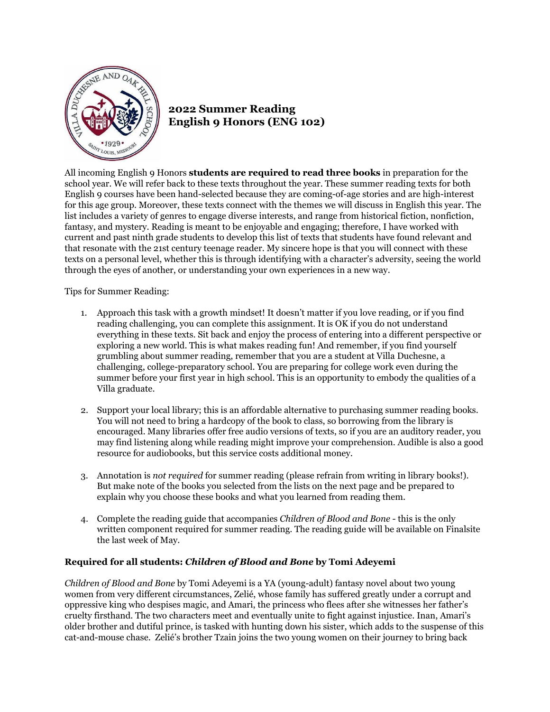

## **2022 Summer Reading English 9 Honors (ENG 102)**

All incoming English 9 Honors **students are required to read three books** in preparation for the school year. We will refer back to these texts throughout the year. These summer reading texts for both English 9 courses have been hand-selected because they are coming-of-age stories and are high-interest for this age group. Moreover, these texts connect with the themes we will discuss in English this year. The list includes a variety of genres to engage diverse interests, and range from historical fiction, nonfiction, fantasy, and mystery. Reading is meant to be enjoyable and engaging; therefore, I have worked with current and past ninth grade students to develop this list of texts that students have found relevant and that resonate with the 21st century teenage reader. My sincere hope is that you will connect with these texts on a personal level, whether this is through identifying with a character's adversity, seeing the world through the eyes of another, or understanding your own experiences in a new way.

Tips for Summer Reading:

- 1. Approach this task with a growth mindset! It doesn't matter if you love reading, or if you find reading challenging, you can complete this assignment. It is OK if you do not understand everything in these texts. Sit back and enjoy the process of entering into a different perspective or exploring a new world. This is what makes reading fun! And remember, if you find yourself grumbling about summer reading, remember that you are a student at Villa Duchesne, a challenging, college-preparatory school. You are preparing for college work even during the summer before your first year in high school. This is an opportunity to embody the qualities of a Villa graduate.
- 2. Support your local library; this is an affordable alternative to purchasing summer reading books. You will not need to bring a hardcopy of the book to class, so borrowing from the library is encouraged. Many libraries offer free audio versions of texts, so if you are an auditory reader, you may find listening along while reading might improve your comprehension. Audible is also a good resource for audiobooks, but this service costs additional money.
- 3. Annotation is *not required* for summer reading (please refrain from writing in library books!). But make note of the books you selected from the lists on the next page and be prepared to explain why you choose these books and what you learned from reading them.
- 4. Complete the reading guide that accompanies *Children of Blood and Bone* this is the only written component required for summer reading. The reading guide will be available on Finalsite the last week of May.

## **Required for all students:** *Children of Blood and Bone* **by Tomi Adeyemi**

*Children of Blood and Bone* by Tomi Adeyemi is a YA (young-adult) fantasy novel about two young women from very different circumstances, Zelié, whose family has suffered greatly under a corrupt and oppressive king who despises magic, and Amari, the princess who flees after she witnesses her father's cruelty firsthand. The two characters meet and eventually unite to fight against injustice. Inan, Amari's older brother and dutiful prince, is tasked with hunting down his sister, which adds to the suspense of this cat-and-mouse chase. Zelié's brother Tzain joins the two young women on their journey to bring back